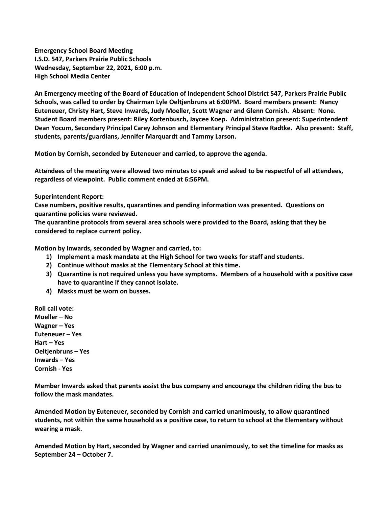**Emergency School Board Meeting I.S.D. 547, Parkers Prairie Public Schools Wednesday, September 22, 2021, 6:00 p.m. High School Media Center**

**An Emergency meeting of the Board of Education of Independent School District 547, Parkers Prairie Public Schools, was called to order by Chairman Lyle Oeltjenbruns at 6:00PM. Board members present: Nancy Euteneuer, Christy Hart, Steve Inwards, Judy Moeller, Scott Wagner and Glenn Cornish. Absent: None. Student Board members present: Riley Kortenbusch, Jaycee Koep. Administration present: Superintendent Dean Yocum, Secondary Principal Carey Johnson and Elementary Principal Steve Radtke. Also present: Staff, students, parents/guardians, Jennifer Marquardt and Tammy Larson.**

**Motion by Cornish, seconded by Euteneuer and carried, to approve the agenda.** 

**Attendees of the meeting were allowed two minutes to speak and asked to be respectful of all attendees, regardless of viewpoint. Public comment ended at 6:56PM.** 

## **Superintendent Report:**

**Case numbers, positive results, quarantines and pending information was presented. Questions on quarantine policies were reviewed.** 

**The quarantine protocols from several area schools were provided to the Board, asking that they be considered to replace current policy.**

**Motion by Inwards, seconded by Wagner and carried, to:**

- **1) Implement a mask mandate at the High School for two weeks for staff and students.**
- **2) Continue without masks at the Elementary School at this time.**
- **3) Quarantine is not required unless you have symptoms. Members of a household with a positive case have to quarantine if they cannot isolate.**
- **4) Masks must be worn on busses.**

**Roll call vote: Moeller – No Wagner – Yes Euteneuer – Yes Hart – Yes Oeltjenbruns – Yes Inwards – Yes Cornish - Yes**

**Member Inwards asked that parents assist the bus company and encourage the children riding the bus to follow the mask mandates.** 

**Amended Motion by Euteneuer, seconded by Cornish and carried unanimously, to allow quarantined students, not within the same household as a positive case, to return to school at the Elementary without wearing a mask.**

**Amended Motion by Hart, seconded by Wagner and carried unanimously, to set the timeline for masks as September 24 – October 7.**